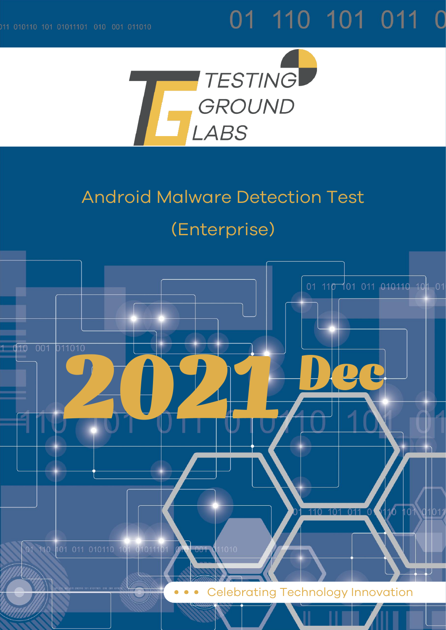# 01 110 101 011 0



## Android Malware Detection Test

## (Enterprise)

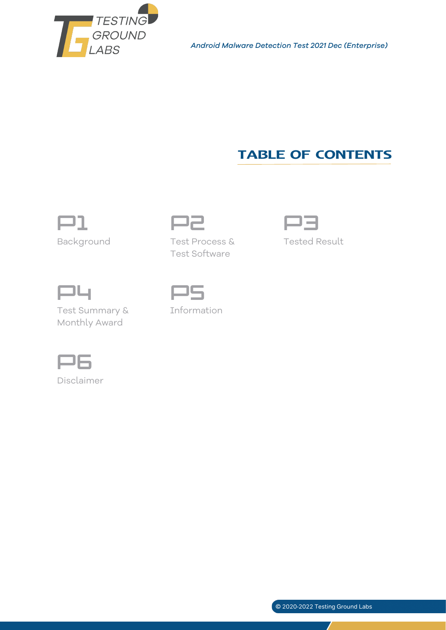

*Android Malware Detection Test 2021 Dec (Enterprise)*

### TABLE OF CONTENTS



Background Test Process &



Tested Result



Test Summary & Monthly Award



Information

Test Software



Disclaimer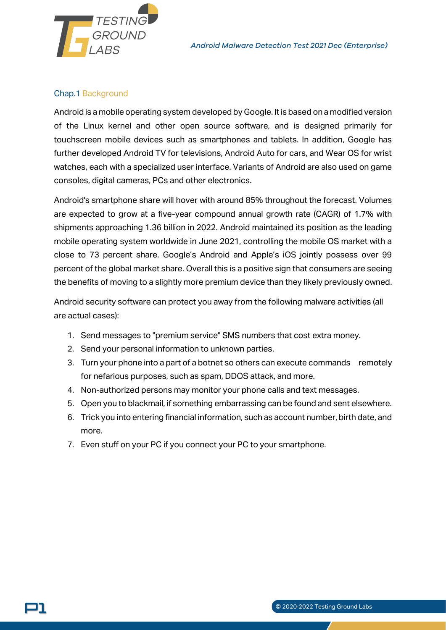

*Android Malware Detection Test 2021 Dec (Enterprise)*

#### Chap.1 Background

Android is a mobile operating system developed by Google. It is based on a modified version of the Linux kernel and other open source software, and is designed primarily for touchscreen mobile devices such as smartphones and tablets. In addition, Google has further developed Android TV for televisions, Android Auto for cars, and Wear OS for wrist watches, each with a specialized user interface. Variants of Android are also used on game consoles, digital cameras, PCs and other electronics.

Android's smartphone share will hover with around 85% throughout the forecast. Volumes are expected to grow at a five-year compound annual growth rate (CAGR) of 1.7% with shipments approaching 1.36 billion in 2022. Android maintained its position as the leading mobile operating system worldwide in June 2021, controlling the mobile OS market with a close to 73 percent share. Google's Android and Apple's iOS jointly possess over 99 percent of the global market share. Overall this is a positive sign that consumers are seeing the benefits of moving to a slightly more premium device than they likely previously owned.

Android security software can protect you away from the following malware activities (all are actual cases):

- 1. Send messages to "premium service" SMS numbers that cost extra money.
- 2. Send your personal information to unknown parties.
- 3. Turn your phone into a part of a botnet so others can execute commands remotely for nefarious purposes, such as spam, DDOS attack, and more.
- 4. Non-authorized persons may monitor your phone calls and text messages.
- 5. Open you to blackmail, if something embarrassing can be found and sent elsewhere.
- 6. Trick you into entering financial information, such as account number, birth date, and more.
- 7. Even stuff on your PC if you connect your PC to your smartphone.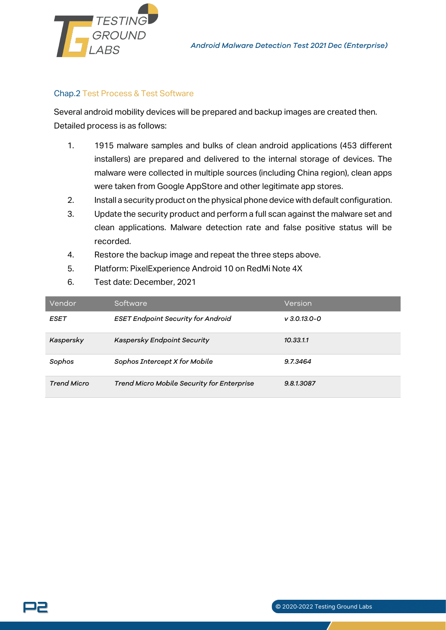

#### Chap.2 Test Process & Test Software

Several android mobility devices will be prepared and backup images are created then. Detailed process is as follows:

- 1. 1915 malware samples and bulks of clean android applications (453 different installers) are prepared and delivered to the internal storage of devices. The malware were collected in multiple sources (including China region), clean apps were taken from Google AppStore and other legitimate app stores.
- 2. Install a security product on the physical phone device with default configuration.
- 3. Update the security product and perform a full scan against the malware set and clean applications. Malware detection rate and false positive status will be recorded.
- 4. Restore the backup image and repeat the three steps above.
- 5. Platform: PixelExperience Android 10 on RedMi Note 4X
- 6. Test date: December, 2021

| Vendor             | Software                                   | Version        |
|--------------------|--------------------------------------------|----------------|
| ESET               | <b>ESET Endpoint Security for Android</b>  | $V$ 3.0.13.0-0 |
| Kaspersky          | Kaspersky Endpoint Security                | 10.33.1.1      |
| Sophos             | Sophos Intercept X for Mobile              | 9.7.3464       |
| <b>Trend Micro</b> | Trend Micro Mobile Security for Enterprise | 9.8.1.3087     |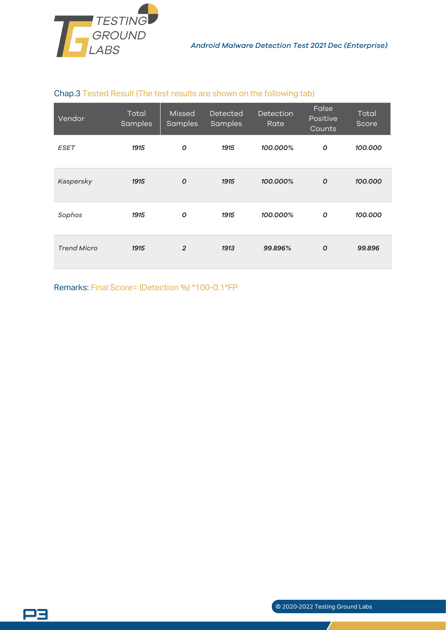

#### Chap.3 Tested Result (The test results are shown on the following tab)

| Vendor             | Total<br>Samples | Missed<br>Samples | <b>Detected</b><br>Samples | Detection<br>Rate | False<br>Positive<br>Counts | Total<br>Score |
|--------------------|------------------|-------------------|----------------------------|-------------------|-----------------------------|----------------|
| <b>ESET</b>        | 1915             | O                 | 1915                       | 100.000%          | 0                           | 100.000        |
| Kaspersky          | 1915             | $\mathcal{O}$     | 1915                       | 100.000%          | $\mathcal{O}$               | 100.000        |
| Sophos             | 1915             | 0                 | 1915                       | 100.000%          | 0                           | 100.000        |
| <b>Trend Micro</b> | 1915             | $\overline{2}$    | 1913                       | 99.896%           | $\mathcal{O}$               | 99.896         |

Remarks: Final Score= (Detection %) \*100-0.1\*FP

32

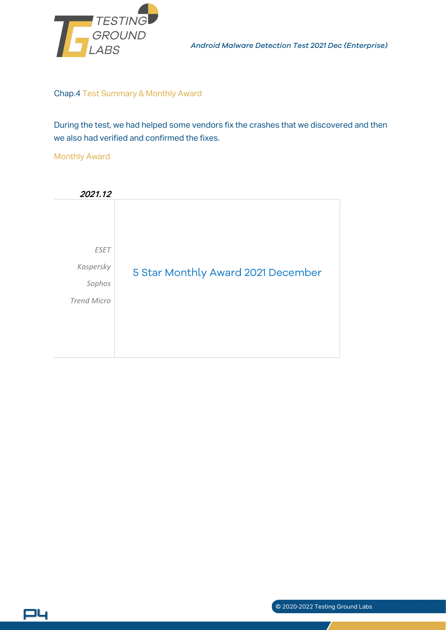

*Android Malware Detection Test 2021 Dec (Enterprise)*

#### Chap.4 Test Summary & Monthly Award

During the test, we had helped some vendors fix the crashes that we discovered and then we also had verified and confirmed the fixes.

#### Monthly Award

P4



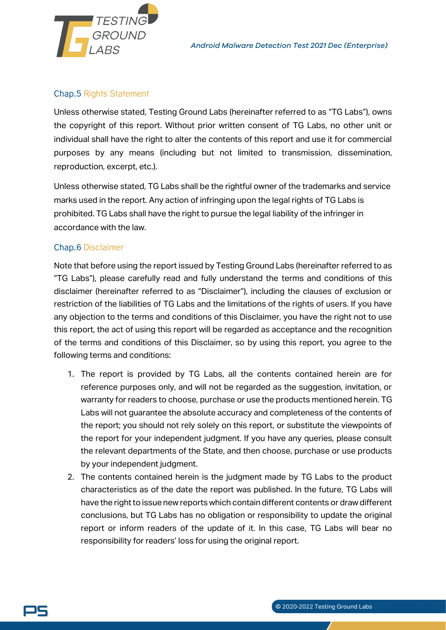

#### Chap.5 Rights Statement

Unless otherwise stated, Testing Ground Labs (hereinafter referred to as "TG Labs"), owns the copyright of this report. Without prior written consent of TG Labs, no other unit or individual shall have the right to alter the contents of this report and use it for commercial purposes by any means (including but not limited to transmission, dissemination, reproduction, excerpt, etc.).

Unless otherwise stated, TG Labs shall be the rightful owner of the trademarks and service marks used in the report. Any action of infringing upon the legal rights of TG Labs is prohibited. TG Labs shall have the right to pursue the legal liability of the infringer in accordance with the law.

#### Chap.6 Disclaimer

Note that before using the report issued by Testing Ground Labs (hereinafter referred to as "TG Labs"), please carefully read and fully understand the terms and conditions of this disclaimer (hereinafter referred to as "Disclaimer"), including the clauses of exclusion or restriction of the liabilities of TG Labs and the limitations of the rights of users. If you have any objection to the terms and conditions of this Disclaimer, you have the right not to use this report, the act of using this report will be regarded as acceptance and the recognition of the terms and conditions of this Disclaimer, so by using this report, you agree to the following terms and conditions:

- 1. The report is provided by TG Labs, all the contents contained herein are for reference purposes only, and will not be regarded as the suggestion, invitation, or warranty for readers to choose, purchase or use the products mentioned herein. TG Labs will not guarantee the absolute accuracy and completeness of the contents of the report; you should not rely solely on this report, or substitute the viewpoints of the report for your independent judgment. If you have any queries, please consult the relevant departments of the State, and then choose, purchase or use products by your independent judgment.
- 2. The contents contained herein is the judgment made by TG Labs to the product characteristics as of the date the report was published. In the future, TG Labs will have the right to issue new reports which contain different contents or draw different conclusions, but TG Labs has no obligation or responsibility to update the original report or inform readers of the update of it. In this case, TG Labs will bear no responsibility for readers' loss for using the original report.